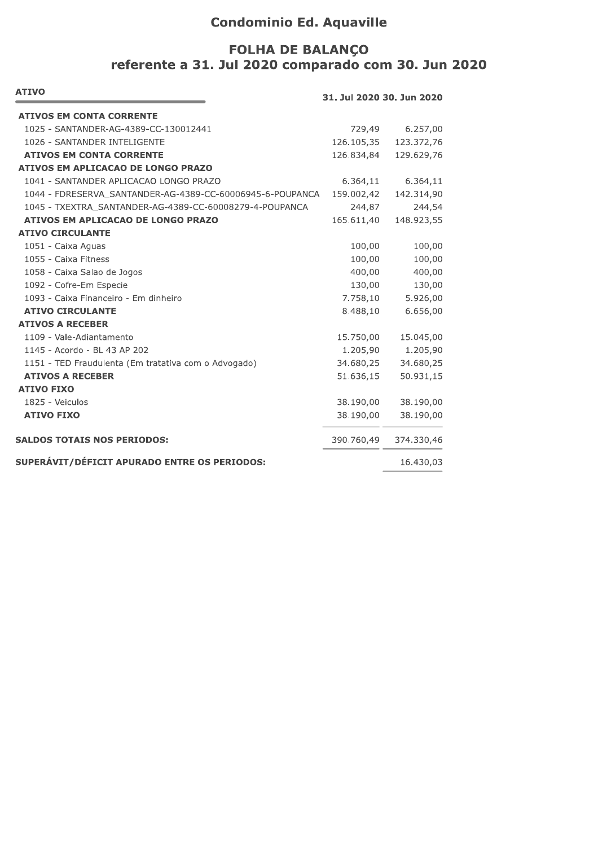# **Condominio Ed. Aquaville**

# FOLHA DE BALANÇO<br>referente a 31. Jul 2020 comparado com 30. Jun 2020

| <b>ATIVO</b><br>31. Jul 2020 30. Jun 2020                 |            |            |
|-----------------------------------------------------------|------------|------------|
| <b>ATIVOS EM CONTA CORRENTE</b>                           |            |            |
| 1025 - SANTANDER-AG-4389-CC-130012441                     | 729,49     | 6.257,00   |
| 1026 - SANTANDER INTELIGENTE                              | 126.105,35 | 123.372,76 |
| <b>ATIVOS EM CONTA CORRENTE</b>                           | 126.834,84 | 129.629,76 |
| ATIVOS EM APLICACAO DE LONGO PRAZO                        |            |            |
| 1041 - SANTANDER APLICACAO LONGO PRAZO                    | 6.364,11   | 6.364,11   |
| 1044 - FDRESERVA_SANTANDER-AG-4389-CC-60006945-6-POUPANCA | 159.002,42 | 142.314,90 |
| 1045 - TXEXTRA_SANTANDER-AG-4389-CC-60008279-4-POUPANCA   | 244,87     | 244,54     |
| <b>ATIVOS EM APLICACAO DE LONGO PRAZO</b>                 | 165.611,40 | 148.923,55 |
| <b>ATIVO CIRCULANTE</b>                                   |            |            |
| 1051 - Caixa Aguas                                        | 100,00     | 100,00     |
| 1055 - Caixa Fitness                                      | 100,00     | 100,00     |
| 1058 - Caixa Salao de Jogos                               | 400,00     | 400,00     |
| 1092 - Cofre-Em Especie                                   | 130,00     | 130,00     |
| 1093 - Caixa Financeiro - Em dinheiro                     | 7.758,10   | 5.926,00   |
| <b>ATIVO CIRCULANTE</b>                                   | 8.488,10   | 6.656,00   |
| <b>ATIVOS A RECEBER</b>                                   |            |            |
| 1109 - Vale-Adiantamento                                  | 15.750,00  | 15.045,00  |
| 1145 - Acordo - BL 43 AP 202                              | 1.205,90   | 1.205,90   |
| 1151 - TED Fraudulenta (Em tratativa com o Advogado)      | 34.680,25  | 34.680,25  |
| <b>ATIVOS A RECEBER</b>                                   | 51.636,15  | 50.931,15  |
| <b>ATIVO FIXO</b>                                         |            |            |
| 1825 - Veiculos                                           | 38.190,00  | 38.190,00  |
| <b>ATIVO FIXO</b>                                         | 38.190,00  | 38.190,00  |
| <b>SALDOS TOTAIS NOS PERIODOS:</b>                        | 390.760,49 | 374.330,46 |
| SUPERÁVIT/DÉFICIT APURADO ENTRE OS PERIODOS:              |            | 16.430,03  |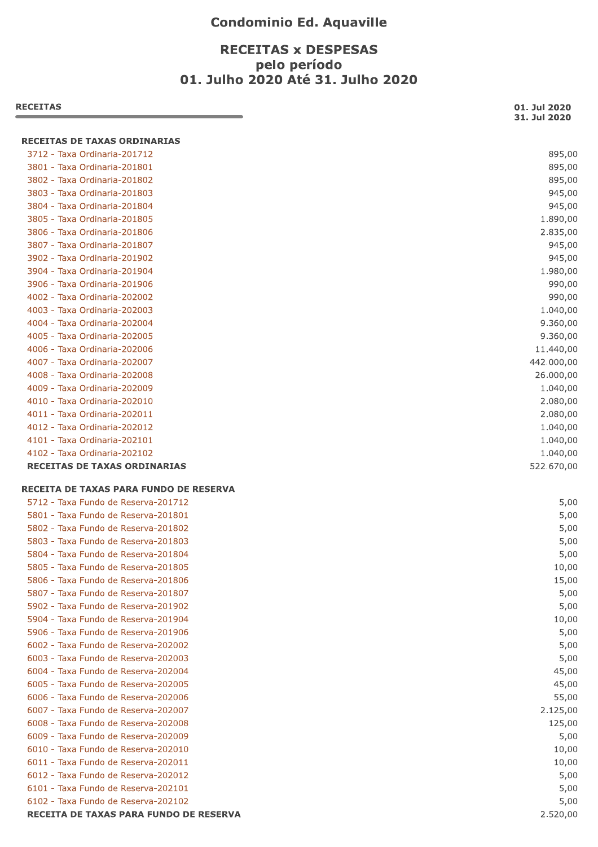### **Condominio Ed. Aquaville**

## **RECEITAS x DESPESAS** pelo período 01. Julho 2020 Até 31. Julho 2020

| <b>RECEITAS</b>                                                               | 01. Jul 2020<br>31. Jul 2020 |
|-------------------------------------------------------------------------------|------------------------------|
| RECEITAS DE TAXAS ORDINARIAS                                                  |                              |
| 3712 - Taxa Ordinaria-201712                                                  | 895,00                       |
| 3801 - Taxa Ordinaria-201801                                                  | 895,00                       |
| 3802 - Taxa Ordinaria-201802                                                  | 895,00                       |
| 3803 - Taxa Ordinaria-201803                                                  | 945,00                       |
| 3804 - Taxa Ordinaria-201804                                                  | 945,00                       |
| 3805 - Taxa Ordinaria-201805                                                  | 1.890,00                     |
| 3806 - Taxa Ordinaria-201806                                                  | 2.835,00                     |
| 3807 - Taxa Ordinaria-201807                                                  | 945,00                       |
| 3902 - Taxa Ordinaria-201902                                                  | 945,00                       |
| 3904 - Taxa Ordinaria-201904                                                  | 1.980,00                     |
| 3906 - Taxa Ordinaria-201906                                                  | 990,00                       |
| 4002 - Taxa Ordinaria-202002                                                  | 990,00                       |
| 4003 - Taxa Ordinaria-202003                                                  | 1.040,00                     |
| 4004 - Taxa Ordinaria-202004                                                  | 9.360,00                     |
| 4005 - Taxa Ordinaria-202005                                                  | 9.360,00                     |
| 4006 - Taxa Ordinaria-202006                                                  | 11.440,00                    |
| 4007 - Taxa Ordinaria-202007                                                  | 442.000,00                   |
| 4008 - Taxa Ordinaria-202008                                                  | 26.000,00                    |
| 4009 - Taxa Ordinaria-202009                                                  | 1.040,00                     |
| 4010 - Taxa Ordinaria-202010                                                  | 2.080,00                     |
| 4011 - Taxa Ordinaria-202011                                                  | 2.080,00                     |
| 4012 - Taxa Ordinaria-202012                                                  | 1.040,00                     |
| 4101 - Taxa Ordinaria-202101                                                  | 1.040,00                     |
| 4102 - Taxa Ordinaria-202102                                                  | 1.040,00                     |
| <b>RECEITAS DE TAXAS ORDINARIAS</b>                                           | 522.670,00                   |
| RECEITA DE TAXAS PARA FUNDO DE RESERVA                                        |                              |
| 5712 - Taxa Fundo de Reserva-201712                                           | 5,00                         |
| 5801 - Taxa Fundo de Reserva-201801                                           | 5,00                         |
| 5802 - Taxa Fundo de Reserva-201802                                           | 5,00                         |
| 5803 - Taxa Fundo de Reserva-201803                                           | 5,00                         |
| 5804 - Taxa Fundo de Reserva-201804                                           | 5,00                         |
| 5805 - Taxa Fundo de Reserva-201805                                           | 10,00                        |
| 5806 - Taxa Fundo de Reserva-201806                                           | 15,00                        |
| 5807 - Taxa Fundo de Reserva-201807                                           | 5,00                         |
| 5902 - Taxa Fundo de Reserva-201902                                           | 5,00                         |
| 5904 - Taxa Fundo de Reserva-201904                                           | 10,00                        |
| 5906 - Taxa Fundo de Reserva-201906                                           | 5,00                         |
| 6002 - Taxa Fundo de Reserva-202002                                           | 5,00                         |
| 6003 - Taxa Fundo de Reserva-202003                                           | 5,00                         |
| 6004 - Taxa Fundo de Reserva-202004                                           | 45,00                        |
| 6005 - Taxa Fundo de Reserva-202005                                           | 45,00                        |
| 6006 - Taxa Fundo de Reserva-202006                                           | 55,00                        |
| 6007 - Taxa Fundo de Reserva-202007                                           | 2.125,00                     |
| 6008 - Taxa Fundo de Reserva-202008                                           | 125,00                       |
| 6009 - Taxa Fundo de Reserva-202009                                           | 5,00                         |
| 6010 - Taxa Fundo de Reserva-202010                                           | 10,00                        |
| 6011 - Taxa Fundo de Reserva-202011                                           | 10,00                        |
| 6012 - Taxa Fundo de Reserva-202012                                           | 5,00                         |
| 6101 - Taxa Fundo de Reserva-202101                                           | 5,00                         |
|                                                                               | 5,00                         |
| 6102 - Taxa Fundo de Reserva-202102<br>RECEITA DE TAXAS PARA FUNDO DE RESERVA | 2.520,00                     |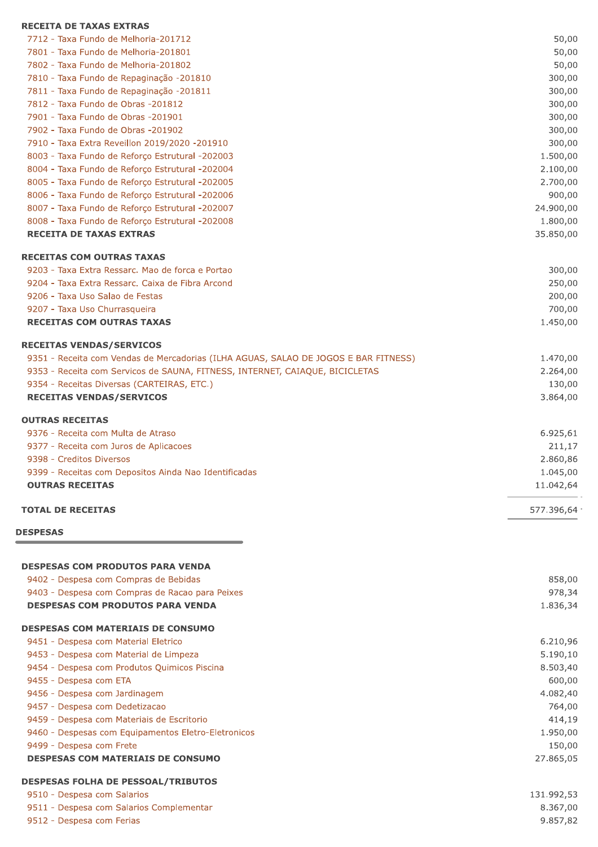| <b>RECEITA DE TAXAS EXTRAS</b>                                                      |              |
|-------------------------------------------------------------------------------------|--------------|
| 7712 - Taxa Fundo de Melhoria-201712                                                | 50,00        |
| 7801 - Taxa Fundo de Melhoria-201801                                                | 50,00        |
| 7802 - Taxa Fundo de Melhoria-201802                                                | 50,00        |
| 7810 - Taxa Fundo de Repaginação -201810                                            | 300,00       |
| 7811 - Taxa Fundo de Repaginação -201811                                            | 300,00       |
| 7812 - Taxa Fundo de Obras -201812                                                  | 300,00       |
| 7901 - Taxa Fundo de Obras -201901                                                  | 300,00       |
| 7902 - Taxa Fundo de Obras -201902                                                  | 300,00       |
| 7910 - Taxa Extra Reveillon 2019/2020 -201910                                       | 300,00       |
| 8003 - Taxa Fundo de Reforço Estrutural -202003                                     | 1.500,00     |
| 8004 - Taxa Fundo de Reforço Estrutural -202004                                     | 2.100,00     |
| 8005 - Taxa Fundo de Reforço Estrutural -202005                                     | 2.700,00     |
| 8006 - Taxa Fundo de Reforço Estrutural -202006                                     | 900,00       |
| 8007 - Taxa Fundo de Reforço Estrutural -202007                                     | 24.900,00    |
| 8008 - Taxa Fundo de Reforço Estrutural -202008                                     | 1.800,00     |
| <b>RECEITA DE TAXAS EXTRAS</b>                                                      | 35.850,00    |
| <b>RECEITAS COM OUTRAS TAXAS</b>                                                    |              |
| 9203 - Taxa Extra Ressarc. Mao de forca e Portao                                    | 300,00       |
| 9204 - Taxa Extra Ressarc, Caixa de Fibra Arcond                                    | 250,00       |
| 9206 - Taxa Uso Salao de Festas                                                     | 200,00       |
| 9207 - Taxa Uso Churrasqueira                                                       | 700,00       |
| <b>RECEITAS COM OUTRAS TAXAS</b>                                                    | 1.450,00     |
| <b>RECEITAS VENDAS/SERVICOS</b>                                                     |              |
| 9351 - Receita com Vendas de Mercadorias (ILHA AGUAS, SALAO DE JOGOS E BAR FITNESS) | 1.470,00     |
| 9353 - Receita com Servicos de SAUNA, FITNESS, INTERNET, CAIAQUE, BICICLETAS        | 2.264,00     |
| 9354 - Receitas Diversas (CARTEIRAS, ETC.)                                          | 130,00       |
| <b>RECEITAS VENDAS/SERVICOS</b>                                                     | 3.864,00     |
| <b>OUTRAS RECEITAS</b>                                                              |              |
| 9376 - Receita com Multa de Atraso                                                  | 6.925,61     |
| 9377 - Receita com Juros de Aplicacoes                                              | 211,17       |
| 9398 - Creditos Diversos                                                            | 2.860,86     |
| 9399 - Receitas com Depositos Ainda Nao Identificadas                               | 1.045,00     |
| <b>OUTRAS RECEITAS</b>                                                              | 11.042,64    |
| <b>TOTAL DE RECEITAS</b>                                                            | 577.396,64 · |
| <b>DESPESAS</b>                                                                     |              |
|                                                                                     |              |
| <b>DESPESAS COM PRODUTOS PARA VENDA</b>                                             |              |
| 9402 - Despesa com Compras de Bebidas                                               | 858,00       |
| 9403 - Despesa com Compras de Racao para Peixes                                     | 978,34       |
| <b>DESPESAS COM PRODUTOS PARA VENDA</b>                                             | 1.836,34     |
| <b>DESPESAS COM MATERIAIS DE CONSUMO</b>                                            |              |
| 9451 - Despesa com Material Eletrico                                                | 6.210,96     |
| 9453 - Despesa com Material de Limpeza                                              | 5.190,10     |
| 9454 - Despesa com Produtos Quimicos Piscina                                        | 8.503,40     |
| 9455 - Despesa com ETA                                                              | 600,00       |
| 9456 - Despesa com Jardinagem                                                       | 4.082,40     |
| 9457 - Despesa com Dedetizacao                                                      | 764,00       |
| 9459 - Despesa com Materiais de Escritorio                                          | 414,19       |

9460 - Despesas com Equipamentos Eletro-Eletronicos

9499 - Despesa com Frete

**DESPESAS COM MATERIAIS DE CONSUMO** 

#### DESPESAS FOLHA DE PESSOAL/TRIBUTOS

| 9510 - Despesa com Salarios              | 131.992,53 |
|------------------------------------------|------------|
| 9511 - Despesa com Salarios Complementar | 8.367,00   |
| 9512 - Despesa com Ferias                | 9.857,82   |

1.950,00

27.865,05

150,00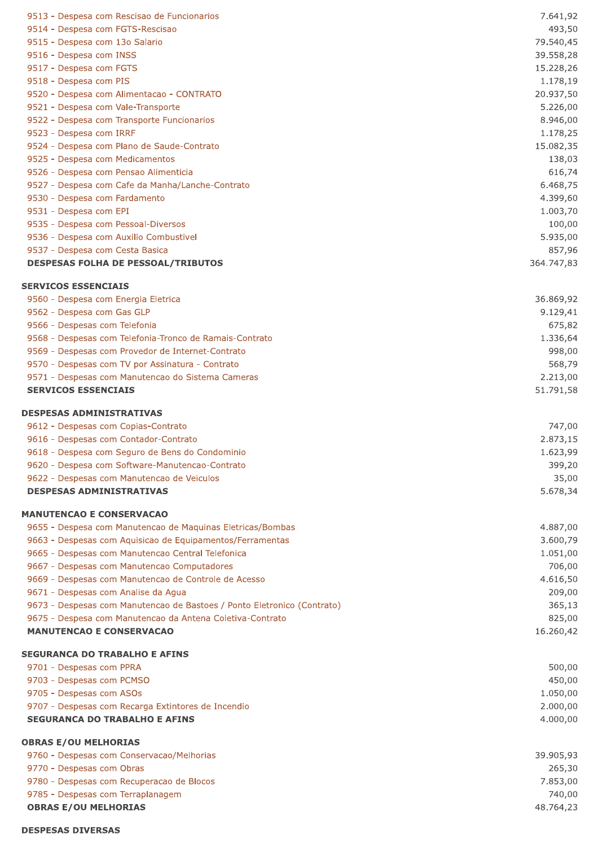| 9513 - Despesa com Rescisao de Funcionarios                                                                                          | 7.641,92             |
|--------------------------------------------------------------------------------------------------------------------------------------|----------------------|
| 9514 - Despesa com FGTS-Rescisao                                                                                                     | 493,50               |
| 9515 - Despesa com 13o Salario                                                                                                       | 79.540,45            |
| 9516 - Despesa com INSS                                                                                                              | 39.558,28            |
| 9517 - Despesa com FGTS                                                                                                              | 15.228,26            |
| 9518 - Despesa com PIS                                                                                                               | 1.178,19             |
| 9520 - Despesa com Alimentacao - CONTRATO                                                                                            | 20.937,50            |
| 9521 - Despesa com Vale-Transporte                                                                                                   | 5.226,00             |
| 9522 - Despesa com Transporte Funcionarios                                                                                           | 8.946,00             |
| 9523 - Despesa com IRRF                                                                                                              | 1.178,25             |
| 9524 - Despesa com Plano de Saude-Contrato                                                                                           | 15.082,35            |
| 9525 - Despesa com Medicamentos                                                                                                      | 138,03               |
| 9526 - Despesa com Pensao Alimenticia                                                                                                | 616,74               |
| 9527 - Despesa com Cafe da Manha/Lanche-Contrato<br>9530 - Despesa com Fardamento                                                    | 6.468,75<br>4.399,60 |
| 9531 - Despesa com EPI                                                                                                               | 1.003,70             |
| 9535 - Despesa com Pessoal-Diversos                                                                                                  | 100,00               |
| 9536 - Despesa com Auxilio Combustivel                                                                                               | 5.935,00             |
| 9537 - Despesa com Cesta Basica                                                                                                      | 857,96               |
| <b>DESPESAS FOLHA DE PESSOAL/TRIBUTOS</b>                                                                                            | 364.747,83           |
|                                                                                                                                      |                      |
| <b>SERVICOS ESSENCIAIS</b>                                                                                                           |                      |
| 9560 - Despesa com Energia Eletrica                                                                                                  | 36.869,92            |
| 9562 - Despesa com Gas GLP                                                                                                           | 9.129,41             |
| 9566 - Despesas com Telefonia                                                                                                        | 675,82               |
| 9568 - Despesas com Telefonia-Tronco de Ramais-Contrato<br>9569 - Despesas com Provedor de Internet-Contrato                         | 1.336,64<br>998,00   |
| 9570 - Despesas com TV por Assinatura - Contrato                                                                                     | 568,79               |
| 9571 - Despesas com Manutencao do Sistema Cameras                                                                                    | 2.213,00             |
| <b>SERVICOS ESSENCIAIS</b>                                                                                                           | 51.791,58            |
|                                                                                                                                      |                      |
| <b>DESPESAS ADMINISTRATIVAS</b>                                                                                                      |                      |
| 9612 - Despesas com Copias-Contrato                                                                                                  | 747,00               |
| 9616 - Despesas com Contador-Contrato                                                                                                | 2.873,15             |
| 9618 - Despesa com Seguro de Bens do Condominio                                                                                      | 1.623,99             |
| 9620 - Despesa com Software-Manutencao-Contrato<br>9622 - Despesas com Manutencao de Veiculos                                        | 399,20<br>35,00      |
| <b>DESPESAS ADMINISTRATIVAS</b>                                                                                                      | 5.678,34             |
|                                                                                                                                      |                      |
| <b>MANUTENCAO E CONSERVACAO</b>                                                                                                      |                      |
| 9655 - Despesa com Manutencao de Maguinas Eletricas/Bombas                                                                           | 4.887,00             |
| 9663 - Despesas com Aquisicao de Equipamentos/Ferramentas                                                                            | 3.600,79             |
| 9665 - Despesas com Manutencao Central Telefonica                                                                                    | 1.051,00             |
| 9667 - Despesas com Manutencao Computadores                                                                                          | 706,00               |
| 9669 - Despesas com Manutencao de Controle de Acesso                                                                                 | 4.616,50             |
| 9671 - Despesas com Analise da Agua                                                                                                  | 209,00               |
| 9673 - Despesas com Manutencao de Bastoes / Ponto Eletronico (Contrato)<br>9675 - Despesa com Manutencao da Antena Coletiva-Contrato | 365,13<br>825,00     |
| <b>MANUTENCAO E CONSERVACAO</b>                                                                                                      | 16.260,42            |
|                                                                                                                                      |                      |
| <b>SEGURANCA DO TRABALHO E AFINS</b>                                                                                                 |                      |
| 9701 - Despesas com PPRA                                                                                                             | 500,00               |
| 9703 - Despesas com PCMSO                                                                                                            | 450,00               |
| 9705 - Despesas com ASOs                                                                                                             | 1.050,00             |
| 9707 - Despesas com Recarga Extintores de Incendio                                                                                   | 2.000,00             |
| <b>SEGURANCA DO TRABALHO E AFINS</b>                                                                                                 | 4.000,00             |
| <b>OBRAS E/OU MELHORIAS</b>                                                                                                          |                      |
| 9760 - Despesas com Conservacao/Melhorias                                                                                            | 39.905,93            |
| 9770 - Despesas com Obras                                                                                                            | 265,30               |
| 9780 - Despesas com Recuperacao de Blocos                                                                                            | 7.853,00             |
| 9785 - Despesas com Terraplanagem                                                                                                    | 740,00               |
| <b>OBRAS E/OU MELHORIAS</b>                                                                                                          | 48.764,23            |
| <b>DESPESAS DIVERSAS</b>                                                                                                             |                      |
|                                                                                                                                      |                      |
|                                                                                                                                      |                      |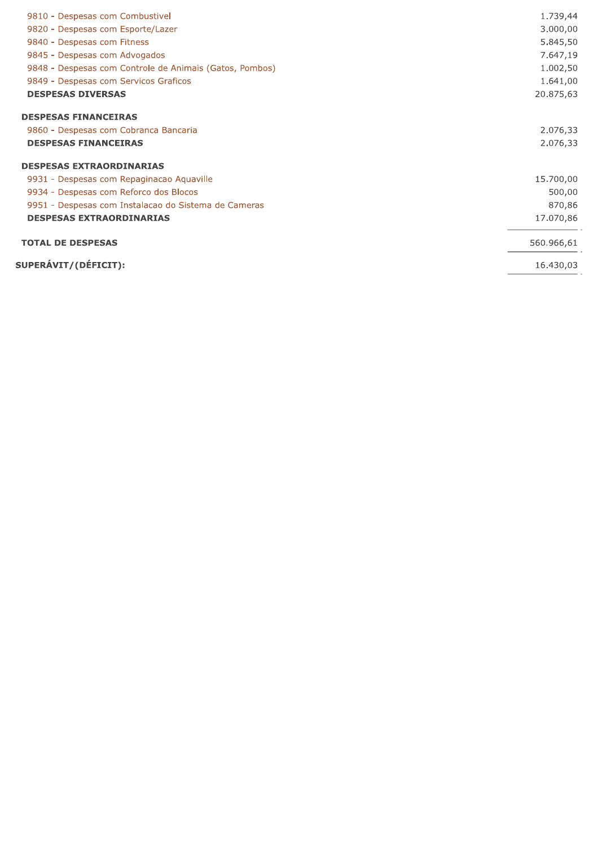| 9810 - Despesas com Combustivel                         | 1.739,44   |
|---------------------------------------------------------|------------|
| 9820 - Despesas com Esporte/Lazer                       | 3.000,00   |
| 9840 - Despesas com Fitness                             | 5.845,50   |
| 9845 - Despesas com Advogados                           | 7.647,19   |
| 9848 - Despesas com Controle de Animais (Gatos, Pombos) | 1.002,50   |
| 9849 - Despesas com Servicos Graficos                   | 1.641,00   |
| <b>DESPESAS DIVERSAS</b>                                | 20.875,63  |
| <b>DESPESAS FINANCEIRAS</b>                             |            |
| 9860 - Despesas com Cobranca Bancaria                   | 2.076,33   |
| <b>DESPESAS FINANCEIRAS</b>                             | 2.076,33   |
| <b>DESPESAS EXTRAORDINARIAS</b>                         |            |
| 9931 - Despesas com Repaginacao Aquaville               | 15.700,00  |
| 9934 - Despesas com Reforco dos Blocos                  | 500,00     |
| 9951 - Despesas com Instalacao do Sistema de Cameras    | 870,86     |
| <b>DESPESAS EXTRAORDINARIAS</b>                         | 17.070,86  |
| <b>TOTAL DE DESPESAS</b>                                | 560.966,61 |
| SUPERÁVIT/(DÉFICIT):                                    | 16.430,03  |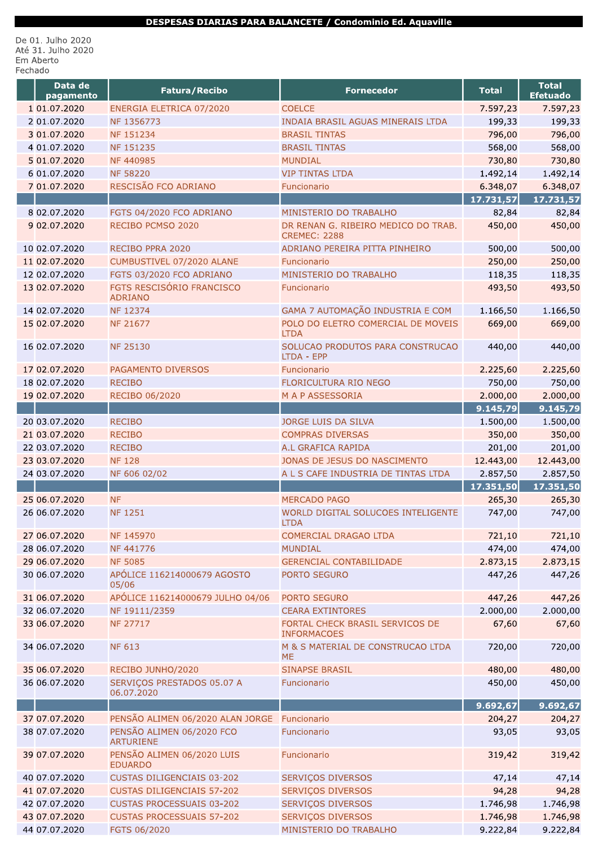#### DESPESAS DIARIAS PARA BALANCETE / Condominio Ed. Aquaville

De 01. Julho 2020<br>Até 31. Julho 2020 Em Aberto Fechado

| Data de<br>pagamento | <b>Fatura/Recibo</b>                               | <b>Fornecedor</b>                                          | <b>Total</b> | <b>Total</b><br><b>Efetuado</b> |
|----------------------|----------------------------------------------------|------------------------------------------------------------|--------------|---------------------------------|
| 1 01.07.2020         | ENERGIA ELETRICA 07/2020                           | <b>COELCE</b>                                              | 7.597,23     | 7.597,23                        |
| 2 01.07.2020         | NF 1356773                                         | INDAIA BRASIL AGUAS MINERAIS LTDA                          | 199,33       | 199,33                          |
| 3 01.07.2020         | NF 151234                                          | <b>BRASIL TINTAS</b>                                       | 796,00       | 796,00                          |
| 4 01.07.2020         | NF 151235                                          | <b>BRASIL TINTAS</b>                                       | 568,00       | 568,00                          |
| 5 01.07.2020         | NF 440985                                          | <b>MUNDIAL</b>                                             | 730,80       | 730,80                          |
| 6 01.07.2020         | <b>NF 58220</b>                                    | <b>VIP TINTAS LTDA</b>                                     | 1.492,14     | 1.492,14                        |
| 7 01.07.2020         | RESCISÃO FCO ADRIANO                               | Funcionario                                                | 6.348,07     | 6.348,07                        |
|                      |                                                    |                                                            | 17.731,57    | 17.731,57                       |
| 8 02.07.2020         | FGTS 04/2020 FCO ADRIANO                           | MINISTERIO DO TRABALHO                                     | 82,84        | 82,84                           |
| 9 02.07.2020         | RECIBO PCMSO 2020                                  | DR RENAN G. RIBEIRO MEDICO DO TRAB.<br><b>CREMEC: 2288</b> | 450,00       | 450,00                          |
| 10 02.07.2020        | RECIBO PPRA 2020                                   | ADRIANO PEREIRA PITTA PINHEIRO                             | 500,00       | 500,00                          |
| 11 02.07.2020        | CUMBUSTIVEL 07/2020 ALANE                          | Funcionario                                                | 250,00       | 250,00                          |
| 12 02.07.2020        | FGTS 03/2020 FCO ADRIANO                           | MINISTERIO DO TRABALHO                                     | 118,35       | 118,35                          |
| 13 02.07.2020        | <b>FGTS RESCISÓRIO FRANCISCO</b><br><b>ADRIANO</b> | Funcionario                                                | 493,50       | 493,50                          |
| 14 02.07.2020        | NF 12374                                           | GAMA 7 AUTOMAÇÃO INDUSTRIA E COM                           | 1.166,50     | 1.166,50                        |
| 15 02.07.2020        | <b>NF 21677</b>                                    | POLO DO ELETRO COMERCIAL DE MOVEIS<br><b>LTDA</b>          | 669,00       | 669,00                          |
| 16 02.07.2020        | <b>NF 25130</b>                                    | SOLUCAO PRODUTOS PARA CONSTRUCAO<br>LTDA - EPP             | 440,00       | 440,00                          |
| 17 02.07.2020        | <b>PAGAMENTO DIVERSOS</b>                          | Funcionario                                                | 2.225,60     | 2.225,60                        |
| 18 02.07.2020        | <b>RECIBO</b>                                      | FLORICULTURA RIO NEGO                                      | 750,00       | 750,00                          |
| 19 02.07.2020        | RECIBO 06/2020                                     | M A P ASSESSORIA                                           | 2.000,00     | 2.000,00                        |
|                      |                                                    |                                                            | 9.145,79     | 9.145,79                        |
| 20 03.07.2020        | <b>RECIBO</b>                                      | <b>JORGE LUIS DA SILVA</b>                                 | 1.500,00     | 1.500,00                        |
| 21 03.07.2020        | <b>RECIBO</b>                                      | <b>COMPRAS DIVERSAS</b>                                    | 350,00       | 350,00                          |
| 22 03.07.2020        | <b>RECIBO</b>                                      | A.L GRAFICA RAPIDA                                         | 201,00       | 201,00                          |
| 23 03.07.2020        | <b>NF 128</b>                                      | JONAS DE JESUS DO NASCIMENTO                               | 12.443,00    | 12.443,00                       |
| 24 03.07.2020        | NF 606 02/02                                       | A L S CAFE INDUSTRIA DE TINTAS LTDA                        | 2.857,50     | 2.857,50                        |
|                      |                                                    |                                                            | 17.351,50    | 17.351,50                       |
| 25 06.07.2020        | <b>NF</b>                                          | <b>MERCADO PAGO</b>                                        | 265,30       | 265,30                          |
| 26 06.07.2020        | <b>NF1251</b>                                      | WORLD DIGITAL SOLUCOES INTELIGENTE<br><b>LTDA</b>          | 747,00       | 747,00                          |
| 27 06.07.2020        | NF 145970                                          | COMERCIAL DRAGAO LTDA                                      | 721,10       | 721,10                          |
| 28 06.07.2020        | NF 441776                                          | <b>MUNDIAL</b>                                             | 474,00       | 474,00                          |
| 29 06.07.2020        | <b>NF 5085</b>                                     | <b>GERENCIAL CONTABILIDADE</b>                             | 2.873,15     | 2.873,15                        |
| 30 06.07.2020        | APÓLICE 116214000679 AGOSTO<br>05/06               | PORTO SEGURO                                               | 447,26       | 447,26                          |
| 31 06.07.2020        | APÓLICE 116214000679 JULHO 04/06                   | PORTO SEGURO                                               | 447,26       | 447,26                          |
| 32 06.07.2020        | NF 19111/2359                                      | <b>CEARA EXTINTORES</b>                                    | 2.000,00     | 2.000,00                        |
| 33 06.07.2020        | <b>NF 27717</b>                                    | FORTAL CHECK BRASIL SERVICOS DE<br><b>INFORMACOES</b>      | 67,60        | 67,60                           |
| 34 06.07.2020        | <b>NF 613</b>                                      | M & S MATERIAL DE CONSTRUCAO LTDA<br><b>ME</b>             | 720,00       | 720,00                          |
| 35 06.07.2020        | RECIBO JUNHO/2020                                  | <b>SINAPSE BRASIL</b>                                      | 480,00       | 480,00                          |
| 36 06.07.2020        | SERVIÇOS PRESTADOS 05.07 A<br>06.07.2020           | Funcionario                                                | 450,00       | 450,00                          |
|                      |                                                    |                                                            | 9.692, 67    | 9.692, 67                       |
| 37 07.07.2020        | PENSÃO ALIMEN 06/2020 ALAN JORGE                   | Funcionario                                                | 204,27       | 204,27                          |
| 38 07.07.2020        | PENSÃO ALIMEN 06/2020 FCO<br><b>ARTURIENE</b>      | Funcionario                                                | 93,05        | 93,05                           |
| 39 07.07.2020        | PENSÃO ALIMEN 06/2020 LUIS<br><b>EDUARDO</b>       | Funcionario                                                | 319,42       | 319,42                          |
| 40 07.07.2020        | <b>CUSTAS DILIGENCIAIS 03-202</b>                  | SERVIÇOS DIVERSOS                                          | 47,14        | 47,14                           |
| 41 07.07.2020        | <b>CUSTAS DILIGENCIAIS 57-202</b>                  | <b>SERVIÇOS DIVERSOS</b>                                   | 94,28        | 94,28                           |
| 42 07.07.2020        | <b>CUSTAS PROCESSUAIS 03-202</b>                   | SERVIÇOS DIVERSOS                                          | 1.746,98     | 1.746,98                        |
| 43 07.07.2020        | <b>CUSTAS PROCESSUAIS 57-202</b>                   | SERVIÇOS DIVERSOS                                          | 1.746,98     | 1.746,98                        |
| 44 07.07.2020        | FGTS 06/2020                                       | MINISTERIO DO TRABALHO                                     | 9.222,84     | 9.222,84                        |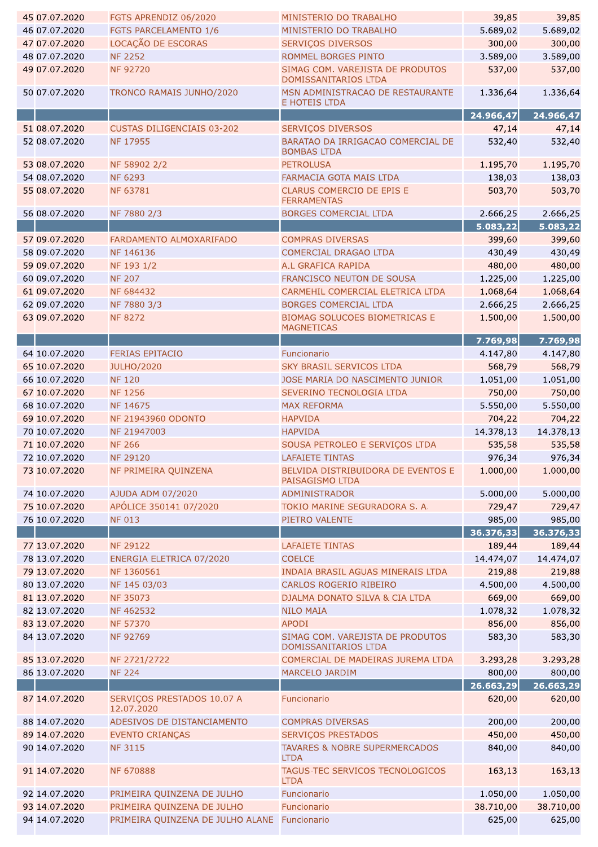| 45 07.07.2020                  | FGTS APRENDIZ 06/2020                    | MINISTERIO DO TRABALHO                                   | 39,85     | 39,85     |
|--------------------------------|------------------------------------------|----------------------------------------------------------|-----------|-----------|
| 46 07.07.2020                  | FGTS PARCELAMENTO 1/6                    | MINISTERIO DO TRABALHO                                   | 5.689,02  | 5.689,02  |
| 47 07.07.2020                  | LOCAÇÃO DE ESCORAS                       | <b>SERVIÇOS DIVERSOS</b>                                 | 300,00    | 300,00    |
| 48 07.07.2020                  | <b>NF 2252</b>                           | ROMMEL BORGES PINTO                                      | 3.589,00  | 3.589,00  |
| 49 07.07.2020                  | <b>NF 92720</b>                          | SIMAG COM. VAREJISTA DE PRODUTOS                         | 537,00    | 537,00    |
| 50 07.07.2020                  | TRONCO RAMAIS JUNHO/2020                 | DOMISSANITARIOS LTDA<br>MSN ADMINISTRACAO DE RESTAURANTE | 1.336,64  | 1.336,64  |
|                                |                                          | <b>E HOTEIS LTDA</b>                                     |           |           |
|                                |                                          |                                                          | 24.966,47 | 24.966,47 |
| 51 08.07.2020<br>52 08.07.2020 | <b>CUSTAS DILIGENCIAIS 03-202</b>        | <b>SERVIÇOS DIVERSOS</b>                                 | 47,14     | 47,14     |
|                                | <b>NF 17955</b>                          | BARATAO DA IRRIGACAO COMERCIAL DE<br><b>BOMBAS LTDA</b>  | 532,40    | 532,40    |
| 53 08.07.2020                  | NF 58902 2/2                             | <b>PETROLUSA</b>                                         | 1.195,70  | 1.195,70  |
| 54 08.07.2020                  | <b>NF 6293</b>                           | FARMACIA GOTA MAIS LTDA                                  | 138,03    | 138,03    |
| 55 08.07.2020                  | <b>NF 63781</b>                          | CLARUS COMERCIO DE EPIS E                                | 503,70    | 503,70    |
|                                |                                          | <b>FERRAMENTAS</b>                                       |           |           |
| 56 08.07.2020                  | NF 7880 2/3                              | <b>BORGES COMERCIAL LTDA</b>                             | 2.666,25  | 2.666,25  |
|                                |                                          |                                                          | 5.083,22  | 5.083,22  |
| 57 09.07.2020                  | FARDAMENTO ALMOXARIFADO                  | <b>COMPRAS DIVERSAS</b>                                  | 399,60    | 399,60    |
| 58 09.07.2020                  | NF 146136                                | <b>COMERCIAL DRAGAO LTDA</b>                             | 430,49    | 430,49    |
| 59 09.07.2020                  | NF 193 1/2                               | A.L GRAFICA RAPIDA                                       | 480,00    | 480,00    |
| 60 09.07.2020                  | <b>NF 207</b>                            | FRANCISCO NEUTON DE SOUSA                                | 1.225,00  | 1.225,00  |
| 61 09.07.2020                  | NF 684432                                | CARMEHIL COMERCIAL ELETRICA LTDA                         | 1.068,64  | 1.068,64  |
| 62 09.07.2020                  | NF 7880 3/3                              | <b>BORGES COMERCIAL LTDA</b>                             | 2.666,25  | 2.666,25  |
| 63 09.07.2020                  | <b>NF 8272</b>                           | BIOMAG SOLUCOES BIOMETRICAS E<br><b>MAGNETICAS</b>       | 1.500,00  | 1.500,00  |
|                                |                                          |                                                          | 7.769,98  | 7.769,98  |
| 64 10.07.2020                  | <b>FERIAS EPITACIO</b>                   | Funcionario                                              | 4.147,80  | 4.147,80  |
| 65 10.07.2020                  | <b>JULHO/2020</b>                        | <b>SKY BRASIL SERVICOS LTDA</b>                          | 568,79    | 568,79    |
| 66 10.07.2020                  | <b>NF 120</b>                            | JOSE MARIA DO NASCIMENTO JUNIOR                          | 1.051,00  | 1.051,00  |
| 67 10.07.2020                  | <b>NF 1256</b>                           | SEVERINO TECNOLOGIA LTDA                                 | 750,00    | 750,00    |
| 68 10.07.2020                  | NF 14675                                 | <b>MAX REFORMA</b>                                       | 5.550,00  | 5.550,00  |
| 69 10.07.2020                  | <b>NF 21943960 ODONTO</b>                | <b>HAPVIDA</b>                                           | 704,22    | 704,22    |
| 70 10.07.2020                  | NF 21947003                              | <b>HAPVIDA</b>                                           | 14.378,13 | 14.378,13 |
| 71 10.07.2020                  | <b>NF 266</b>                            | SOUSA PETROLEO E SERVIÇOS LTDA                           | 535,58    | 535,58    |
| 72 10.07.2020                  | <b>NF 29120</b>                          | <b>LAFAIETE TINTAS</b>                                   | 976,34    | 976,34    |
| 73 10.07.2020                  | NF PRIMEIRA QUINZENA                     | BELVIDA DISTRIBUIDORA DE EVENTOS E<br>PAISAGISMO LTDA    | 1.000,00  | 1.000,00  |
| 74 10.07.2020                  | AJUDA ADM 07/2020                        | <b>ADMINISTRADOR</b>                                     | 5.000,00  | 5.000,00  |
| 75 10.07.2020                  | APÓLICE 350141 07/2020                   | TOKIO MARINE SEGURADORA S. A.                            | 729,47    | 729,47    |
| 76 10.07.2020                  | <b>NF 013</b>                            | PIETRO VALENTE                                           | 985,00    | 985,00    |
|                                |                                          |                                                          | 36.376,33 | 36.376,33 |
| 77 13.07.2020                  | <b>NF 29122</b>                          | <b>LAFAIETE TINTAS</b>                                   | 189,44    | 189,44    |
| 78 13.07.2020                  | ENERGIA ELETRICA 07/2020                 | <b>COELCE</b>                                            | 14.474,07 | 14.474,07 |
| 79 13.07.2020                  | NF 1360561                               | INDAIA BRASIL AGUAS MINERAIS LTDA                        | 219,88    | 219,88    |
| 80 13.07.2020                  | NF 145 03/03                             | CARLOS ROGERIO RIBEIRO                                   | 4.500,00  | 4.500,00  |
| 81 13.07.2020                  | NF 35073                                 | DJALMA DONATO SILVA & CIA LTDA                           | 669,00    | 669,00    |
| 82 13.07.2020                  | NF 462532                                | <b>NILO MAIA</b>                                         | 1.078,32  | 1.078,32  |
| 83 13.07.2020                  | <b>NF 57370</b>                          | <b>APODI</b>                                             | 856,00    | 856,00    |
| 84 13.07.2020                  | NF 92769                                 | SIMAG COM. VAREJISTA DE PRODUTOS<br>DOMISSANITARIOS LTDA | 583,30    | 583,30    |
| 85 13.07.2020                  | NF 2721/2722                             | COMERCIAL DE MADEIRAS JUREMA LTDA                        | 3.293,28  | 3.293,28  |
| 86 13.07.2020                  | <b>NF 224</b>                            | <b>MARCELO JARDIM</b>                                    | 800,00    | 800,00    |
|                                |                                          |                                                          | 26.663,29 | 26.663,29 |
| 87 14.07.2020                  | SERVIÇOS PRESTADOS 10.07 A<br>12.07.2020 | Funcionario                                              | 620,00    | 620,00    |
| 88 14.07.2020                  | ADESIVOS DE DISTANCIAMENTO               | <b>COMPRAS DIVERSAS</b>                                  | 200,00    | 200,00    |
| 89 14.07.2020                  | <b>EVENTO CRIANÇAS</b>                   | <b>SERVIÇOS PRESTADOS</b>                                | 450,00    | 450,00    |
| 90 14.07.2020                  | <b>NF 3115</b>                           | <b>TAVARES &amp; NOBRE SUPERMERCADOS</b><br><b>LTDA</b>  | 840,00    | 840,00    |
| 91 14.07.2020                  | NF 670888                                | TAGUS-TEC SERVICOS TECNOLOGICOS<br><b>LTDA</b>           | 163,13    | 163,13    |
| 92 14.07.2020                  | PRIMEIRA QUINZENA DE JULHO               | Funcionario                                              | 1.050,00  | 1.050,00  |
| 93 14.07.2020                  | PRIMEIRA QUINZENA DE JULHO               | Funcionario                                              | 38.710,00 | 38.710,00 |
| 94 14.07.2020                  | PRIMEIRA QUINZENA DE JULHO ALANE         | Funcionario                                              | 625,00    | 625,00    |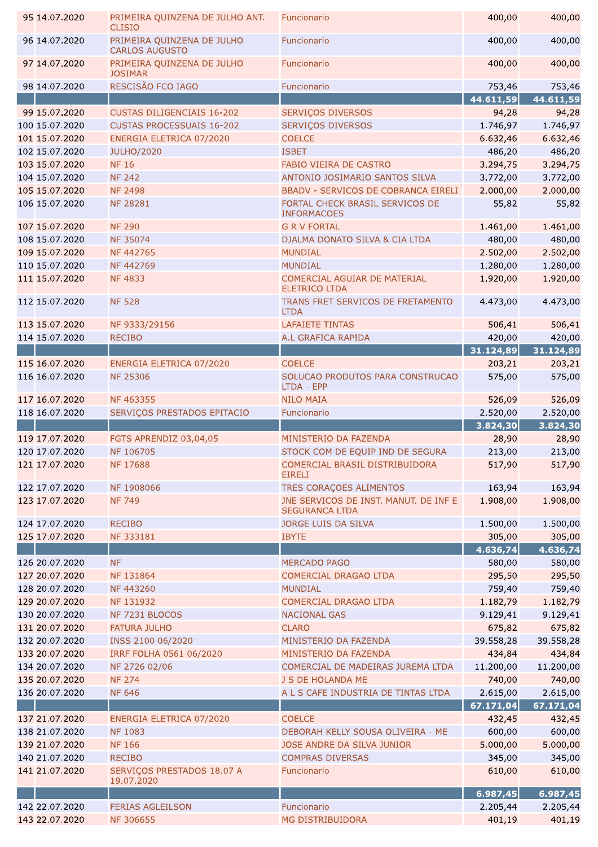| 95 14.07.2020  | PRIMEIRA QUINZENA DE JULHO ANT.<br><b>CLISIO</b>    | Funcionario                                                    | 400,00             | 400,00             |
|----------------|-----------------------------------------------------|----------------------------------------------------------------|--------------------|--------------------|
| 96 14.07.2020  | PRIMEIRA QUINZENA DE JULHO<br><b>CARLOS AUGUSTO</b> | Funcionario                                                    | 400,00             | 400,00             |
| 97 14.07.2020  | PRIMEIRA QUINZENA DE JULHO<br><b>JOSIMAR</b>        | Funcionario                                                    | 400,00             | 400,00             |
| 98 14.07.2020  | RESCISÃO FCO IAGO                                   | Funcionario                                                    | 753,46             | 753,46             |
|                |                                                     |                                                                | 44.611,59          | 44.611,59          |
| 99 15.07.2020  | <b>CUSTAS DILIGENCIAIS 16-202</b>                   | SERVIÇOS DIVERSOS                                              | 94,28              | 94,28              |
| 100 15.07.2020 | <b>CUSTAS PROCESSUAIS 16-202</b>                    | SERVIÇOS DIVERSOS                                              | 1.746,97           | 1.746,97           |
| 101 15.07.2020 | ENERGIA ELETRICA 07/2020                            | <b>COELCE</b>                                                  | 6.632,46           | 6.632,46           |
| 102 15.07.2020 | <b>JULHO/2020</b>                                   | <b>ISBET</b>                                                   | 486,20             | 486,20             |
| 103 15.07.2020 | <b>NF 16</b>                                        | <b>FABIO VIEIRA DE CASTRO</b>                                  | 3.294,75           | 3.294,75           |
| 104 15.07.2020 | <b>NF 242</b>                                       | ANTONIO JOSIMARIO SANTOS SILVA                                 | 3.772,00           | 3.772,00           |
| 105 15.07.2020 | <b>NF 2498</b>                                      | BBADV - SERVICOS DE COBRANCA EIRELI                            | 2.000,00           | 2.000,00           |
| 106 15.07.2020 | <b>NF 28281</b>                                     | FORTAL CHECK BRASIL SERVICOS DE                                | 55,82              | 55,82              |
|                |                                                     | <b>INFORMACOES</b>                                             |                    |                    |
| 107 15.07.2020 | <b>NF 290</b>                                       | <b>G R V FORTAL</b>                                            | 1.461,00           | 1.461,00           |
| 108 15.07.2020 | <b>NF 35074</b>                                     | DJALMA DONATO SILVA & CIA LTDA                                 | 480,00             | 480,00             |
| 109 15.07.2020 | NF 442765                                           | <b>MUNDIAL</b>                                                 | 2.502,00           | 2.502,00           |
| 110 15.07.2020 | NF 442769                                           | <b>MUNDIAL</b>                                                 | 1.280,00           | 1.280,00           |
| 111 15.07.2020 | <b>NF4833</b>                                       | COMERCIAL AGUIAR DE MATERIAL                                   | 1.920,00           | 1.920,00           |
|                |                                                     | <b>ELETRICO LTDA</b>                                           |                    |                    |
| 112 15.07.2020 | <b>NF 528</b>                                       | TRANS FRET SERVICOS DE FRETAMENTO<br><b>LTDA</b>               | 4.473,00           | 4.473,00           |
| 113 15.07.2020 | NF 9333/29156                                       | <b>LAFAIETE TINTAS</b>                                         | 506,41             | 506,41             |
| 114 15.07.2020 | <b>RECIBO</b>                                       | A.L GRAFICA RAPIDA                                             | 420,00             | 420,00             |
|                |                                                     |                                                                | 31.124,89          | 31.124,89          |
| 115 16.07.2020 | ENERGIA ELETRICA 07/2020                            | <b>COELCE</b>                                                  | 203,21             | 203,21             |
| 116 16.07.2020 | <b>NF 25306</b>                                     | SOLUCAO PRODUTOS PARA CONSTRUCAO                               | 575,00             | 575,00             |
|                |                                                     | LTDA - EPP                                                     |                    |                    |
| 117 16.07.2020 | NF 463355                                           | <b>NILO MAIA</b>                                               | 526,09             | 526,09             |
| 118 16.07.2020 | SERVIÇOS PRESTADOS EPITACIO                         | Funcionario                                                    | 2.520,00           | 2.520,00           |
|                |                                                     |                                                                | 3.824,30           | 3.824, 30          |
| 119 17.07.2020 | FGTS APRENDIZ 03,04,05                              | MINISTERIO DA FAZENDA                                          | 28,90              | 28,90              |
| 120 17.07.2020 | NF 106705                                           | STOCK COM DE EQUIP IND DE SEGURA                               | 213,00             | 213,00             |
| 121 17.07.2020 | NF 17688                                            | COMERCIAL BRASIL DISTRIBUIDORA                                 | 517,90             | 517,90             |
|                |                                                     | <b>EIRELI</b>                                                  |                    |                    |
| 122 17.07.2020 | NF 1908066                                          | TRES CORAÇOES ALIMENTOS                                        | 163,94             | 163,94             |
| 123 17.07.2020 | <b>NF 749</b>                                       | JNE SERVICOS DE INST. MANUT. DE INF E<br><b>SEGURANCA LTDA</b> | 1.908,00           | 1.908,00           |
| 124 17.07.2020 | <b>RECIBO</b>                                       | JORGE LUIS DA SILVA                                            | 1.500,00           | 1.500,00           |
| 125 17.07.2020 | NF 333181                                           |                                                                |                    |                    |
|                |                                                     |                                                                |                    |                    |
|                |                                                     | <b>IBYTE</b>                                                   | 305,00             | 305,00             |
|                |                                                     |                                                                | 4.636,74           | 4.636,74           |
| 126 20.07.2020 | <b>NF</b>                                           | <b>MERCADO PAGO</b>                                            | 580,00             | 580,00             |
| 127 20.07.2020 | NF 131864                                           | COMERCIAL DRAGAO LTDA                                          | 295,50             | 295,50             |
| 128 20.07.2020 | NF 443260                                           | <b>MUNDIAL</b>                                                 | 759,40             | 759,40             |
| 129 20.07.2020 | NF 131932                                           | <b>COMERCIAL DRAGAO LTDA</b>                                   | 1.182,79           | 1.182,79           |
| 130 20.07.2020 | NF 7231 BLOCOS                                      | <b>NACIONAL GAS</b>                                            | 9.129,41           | 9.129,41           |
| 131 20.07.2020 | <b>FATURA JULHO</b>                                 | <b>CLARO</b>                                                   | 675,82             | 675,82             |
| 132 20.07.2020 | INSS 2100 06/2020                                   | MINISTERIO DA FAZENDA                                          | 39.558,28          | 39.558,28          |
| 133 20.07.2020 | IRRF FOLHA 0561 06/2020                             | MINISTERIO DA FAZENDA                                          | 434,84             | 434,84             |
| 134 20.07.2020 | NF 2726 02/06                                       | COMERCIAL DE MADEIRAS JUREMA LTDA                              | 11.200,00          | 11.200,00          |
| 135 20.07.2020 | <b>NF 274</b>                                       | J S DE HOLANDA ME                                              | 740,00             | 740,00             |
| 136 20.07.2020 | <b>NF 646</b>                                       | A L S CAFE INDUSTRIA DE TINTAS LTDA                            | 2.615,00           | 2.615,00           |
|                |                                                     |                                                                | 67.171,04          | 67.171,04          |
| 137 21.07.2020 | ENERGIA ELETRICA 07/2020                            | <b>COELCE</b>                                                  | 432,45             | 432,45             |
| 138 21.07.2020 | <b>NF 1083</b>                                      | DEBORAH KELLY SOUSA OLIVEIRA - ME                              | 600,00             | 600,00             |
| 139 21.07.2020 | <b>NF 166</b>                                       | JOSE ANDRE DA SILVA JUNIOR                                     | 5.000,00           | 5.000,00           |
| 140 21.07.2020 | <b>RECIBO</b>                                       | <b>COMPRAS DIVERSAS</b>                                        | 345,00             | 345,00             |
| 141 21.07.2020 | SERVIÇOS PRESTADOS 18.07 A                          | Funcionario                                                    | 610,00             | 610,00             |
|                | 19.07.2020                                          |                                                                |                    |                    |
| 142 22.07.2020 |                                                     |                                                                | 6.987,45           | 6.987,45           |
| 143 22.07.2020 | <b>FERIAS AGLEILSON</b><br>NF 306655                | Funcionario<br>MG DISTRIBUIDORA                                | 2.205,44<br>401,19 | 2.205,44<br>401,19 |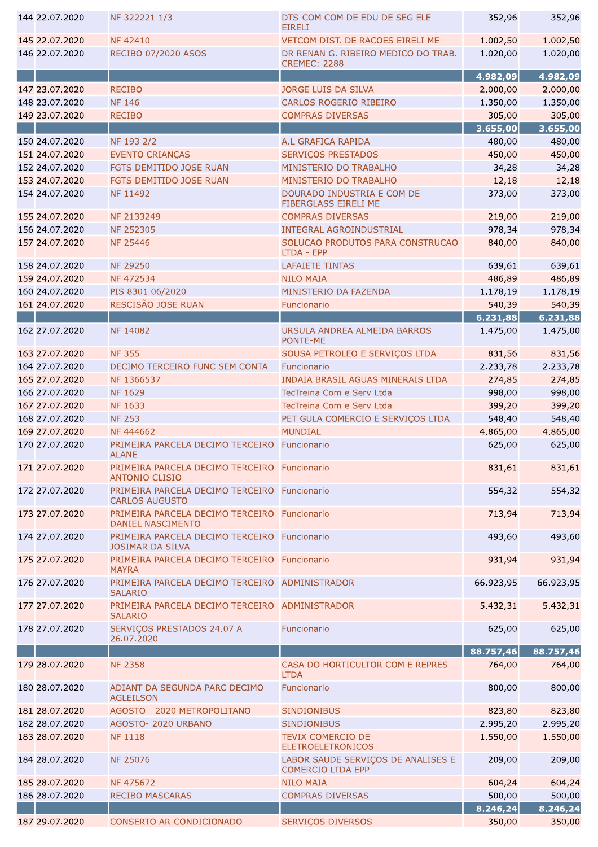| 144 22.07.2020                   | NF 322221 1/3                                                            | DTS-COM COM DE EDU DE SEG ELE -<br><b>EIRELI</b>               | 352,96             | 352,96               |
|----------------------------------|--------------------------------------------------------------------------|----------------------------------------------------------------|--------------------|----------------------|
| 145 22.07.2020                   | <b>NF42410</b>                                                           | VETCOM DIST. DE RACOES EIRELI ME                               | 1.002,50           | 1.002,50             |
| 146 22.07.2020                   | RECIBO 07/2020 ASOS                                                      | DR RENAN G. RIBEIRO MEDICO DO TRAB.                            | 1.020,00           | 1.020,00             |
|                                  |                                                                          | <b>CREMEC: 2288</b>                                            | 4.982,09           |                      |
| 147 23.07.2020                   | <b>RECIBO</b>                                                            | <b>JORGE LUIS DA SILVA</b>                                     | 2.000,00           | 4.982,09<br>2.000,00 |
| 148 23.07.2020                   | <b>NF 146</b>                                                            | CARLOS ROGERIO RIBEIRO                                         | 1.350,00           | 1.350,00             |
| 149 23.07.2020                   | <b>RECIBO</b>                                                            | <b>COMPRAS DIVERSAS</b>                                        | 305,00             | 305,00               |
|                                  |                                                                          |                                                                | 3.655,00           | 3.655,00             |
| 150 24.07.2020                   | NF 193 2/2                                                               | A.L GRAFICA RAPIDA                                             | 480,00             | 480,00               |
| 151 24.07.2020                   | <b>EVENTO CRIANÇAS</b>                                                   | <b>SERVIÇOS PRESTADOS</b>                                      | 450,00             | 450,00               |
| 152 24.07.2020                   | FGTS DEMITIDO JOSE RUAN                                                  | MINISTERIO DO TRABALHO                                         | 34,28              | 34,28                |
| 153 24.07.2020                   | FGTS DEMITIDO JOSE RUAN                                                  | MINISTERIO DO TRABALHO                                         | 12,18              | 12,18                |
| 154 24.07.2020                   | NF 11492                                                                 | DOURADO INDUSTRIA E COM DE<br>FIBERGLASS EIRELI ME             | 373,00             | 373,00               |
| 155 24.07.2020                   | NF 2133249                                                               | <b>COMPRAS DIVERSAS</b>                                        | 219,00             | 219,00               |
| 156 24.07.2020                   | NF 252305                                                                | <b>INTEGRAL AGROINDUSTRIAL</b>                                 | 978,34             | 978,34               |
| 157 24.07.2020                   | <b>NF 25446</b>                                                          | SOLUCAO PRODUTOS PARA CONSTRUCAO<br>LTDA - EPP                 | 840,00             | 840,00               |
| 158 24.07.2020                   | <b>NF 29250</b>                                                          | <b>LAFAIETE TINTAS</b>                                         | 639,61             | 639,61               |
| 159 24.07.2020                   | <b>NF472534</b>                                                          | <b>NILO MAIA</b>                                               | 486,89             | 486,89               |
| 160 24.07.2020                   | PIS 8301 06/2020                                                         | MINISTERIO DA FAZENDA                                          | 1.178,19           | 1.178,19             |
| 161 24.07.2020                   | RESCISÃO JOSE RUAN                                                       | Funcionario                                                    | 540,39<br>6.231,88 | 540,39               |
| 162 27.07.2020                   | <b>NF 14082</b>                                                          | URSULA ANDREA ALMEIDA BARROS                                   | 1.475,00           | 6.231,88<br>1.475,00 |
|                                  | <b>NF 355</b>                                                            | PONTE-ME                                                       |                    |                      |
| 163 27.07.2020<br>164 27.07.2020 | DECIMO TERCEIRO FUNC SEM CONTA                                           | SOUSA PETROLEO E SERVIÇOS LTDA<br>Funcionario                  | 831,56<br>2.233,78 | 831,56<br>2.233,78   |
| 165 27.07.2020                   | NF 1366537                                                               | <b>INDAIA BRASIL AGUAS MINERAIS LTDA</b>                       | 274,85             | 274,85               |
| 166 27.07.2020                   | <b>NF 1629</b>                                                           | TecTreina Com e Serv Ltda                                      | 998,00             | 998,00               |
| 167 27.07.2020                   | <b>NF 1633</b>                                                           | TecTreina Com e Serv Ltda                                      | 399,20             | 399,20               |
| 168 27.07.2020                   | <b>NF 253</b>                                                            | PET GULA COMERCIO E SERVIÇOS LTDA                              | 548,40             | 548,40               |
| 169 27.07.2020                   | NF 444662                                                                | <b>MUNDIAL</b>                                                 | 4.865,00           | 4.865,00             |
| 170 27.07.2020                   | PRIMEIRA PARCELA DECIMO TERCEIRO<br><b>ALANE</b>                         | Funcionario                                                    | 625,00             | 625,00               |
| 171 27.07.2020                   | PRIMEIRA PARCELA DECIMO TERCEIRO Funcionario<br><b>ANTONIO CLISIO</b>    |                                                                | 831,61             | 831,61               |
| 172 27.07.2020                   | PRIMEIRA PARCELA DECIMO TERCEIRO Funcionario<br><b>CARLOS AUGUSTO</b>    |                                                                | 554,32             | 554,32               |
| 173 27.07.2020                   | PRIMEIRA PARCELA DECIMO TERCEIRO Funcionario<br><b>DANIEL NASCIMENTO</b> |                                                                | 713,94             | 713,94               |
| 174 27.07.2020                   | PRIMEIRA PARCELA DECIMO TERCEIRO Funcionario<br><b>JOSIMAR DA SILVA</b>  |                                                                | 493,60             | 493,60               |
| 175 27.07.2020                   | PRIMEIRA PARCELA DECIMO TERCEIRO<br><b>MAYRA</b>                         | Funcionario                                                    | 931,94             | 931,94               |
| 176 27.07.2020                   | PRIMEIRA PARCELA DECIMO TERCEIRO ADMINISTRADOR<br><b>SALARIO</b>         |                                                                | 66.923,95          | 66.923,95            |
| 177 27.07.2020                   | PRIMEIRA PARCELA DECIMO TERCEIRO ADMINISTRADOR<br><b>SALARIO</b>         |                                                                | 5.432,31           | 5.432,31             |
| 178 27.07.2020                   | SERVIÇOS PRESTADOS 24.07 A<br>26.07.2020                                 | Funcionario                                                    | 625,00             | 625,00               |
|                                  |                                                                          |                                                                | 88.757,46          | 88.757,46            |
| 179 28.07.2020                   | <b>NF 2358</b>                                                           | CASA DO HORTICULTOR COM E REPRES<br><b>LTDA</b>                | 764,00             | 764,00               |
| 180 28.07.2020                   | ADIANT DA SEGUNDA PARC DECIMO<br><b>AGLEILSON</b>                        | Funcionario                                                    | 800,00             | 800,00               |
| 181 28.07.2020                   | AGOSTO - 2020 METROPOLITANO                                              | <b>SINDIONIBUS</b>                                             | 823,80             | 823,80               |
| 182 28.07.2020                   | AGOSTO- 2020 URBANO                                                      | <b>SINDIONIBUS</b>                                             | 2.995,20           | 2.995,20             |
| 183 28.07.2020                   | <b>NF 1118</b>                                                           | <b>TEVIX COMERCIO DE</b><br><b>ELETROELETRONICOS</b>           | 1.550,00           | 1.550,00             |
| 184 28.07.2020                   | <b>NF 25076</b>                                                          | LABOR SAUDE SERVIÇOS DE ANALISES E<br><b>COMERCIO LTDA EPP</b> | 209,00             | 209,00               |
| 185 28.07.2020                   | NF 475672                                                                | <b>NILO MAIA</b>                                               | 604,24             | 604,24               |
| 186 28.07.2020                   | <b>RECIBO MASCARAS</b>                                                   | <b>COMPRAS DIVERSAS</b>                                        | 500,00             | 500,00               |
|                                  |                                                                          |                                                                | 8.246,24           | 8.246,24             |
| 187 29.07.2020                   | <b>CONSERTO AR-CONDICIONADO</b>                                          | <b>SERVIÇOS DIVERSOS</b>                                       | 350,00             | 350,00               |